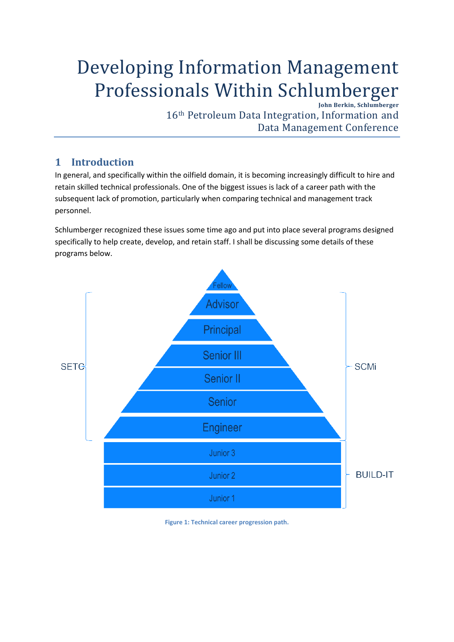# Developing Information Management Professionals Within Schlumberger **John Berkin, Schlumberger**

16th Petroleum Data Integration, Information and Data Management Conference

## **1 Introduction**

In general, and specifically within the oilfield domain, it is becoming increasingly difficult to hire and retain skilled technical professionals. One of the biggest issues is lack of a career path with the subsequent lack of promotion, particularly when comparing technical and management track personnel.

Schlumberger recognized these issues some time ago and put into place several programs designed specifically to help create, develop, and retain staff. I shall be discussing some details of these programs below.



**Figure 1: Technical career progression path.**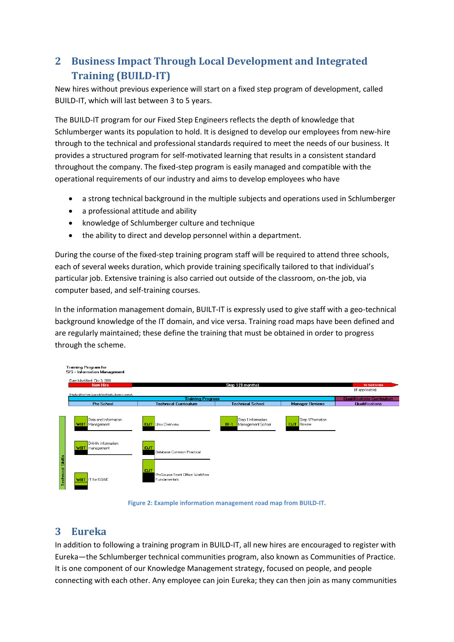# **2 Business Impact Through Local Development and Integrated Training (BUILD-IT)**

New hires without previous experience will start on a fixed step program of development, called BUILD-IT, which will last between 3 to 5 years.

The BUILD-IT program for our Fixed Step Engineers reflects the depth of knowledge that Schlumberger wants its population to hold. It is designed to develop our employees from new-hire through to the technical and professional standards required to meet the needs of our business. It provides a structured program for self-motivated learning that results in a consistent standard throughout the company. The fixed-step program is easily managed and compatible with the operational requirements of our industry and aims to develop employees who have

- a strong technical background in the multiple subjects and operations used in Schlumberger
- a professional attitude and ability
- knowledge of Schlumberger culture and technique
- the ability to direct and develop personnel within a department.

During the course of the fixed-step training program staff will be required to attend three schools, each of several weeks duration, which provide training specifically tailored to that individual's particular job. Extensive training is also carried out outside of the classroom, on-the job, via computer based, and self-training courses.

In the information management domain, BUILT-IT is expressly used to give staff with a geo-technical background knowledge of the IT domain, and vice versa. Training road maps have been defined and are regularly maintained; these define the training that must be obtained in order to progress through the scheme.





## **3 Eureka**

In addition to following a training program in BUILD-IT, all new hires are encouraged to register with Eureka—the Schlumberger technical communities program, also known as Communities of Practice. It is one component of our Knowledge Management strategy, focused on people, and people connecting with each other. Any employee can join Eureka; they can then join as many communities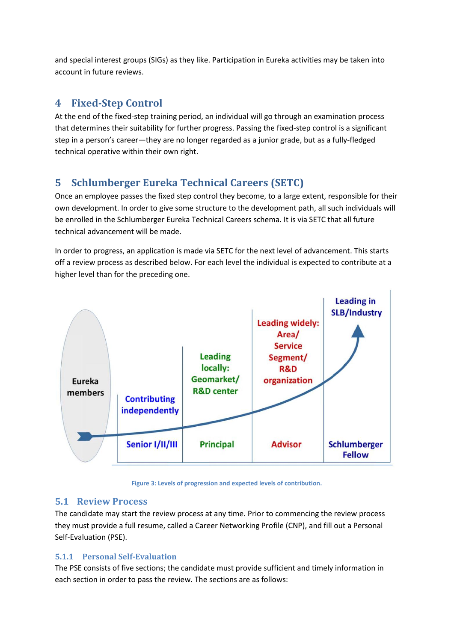and special interest groups (SIGs) as they like. Participation in Eureka activities may be taken into account in future reviews.

# **4 Fixed-Step Control**

At the end of the fixed-step training period, an individual will go through an examination process that determines their suitability for further progress. Passing the fixed-step control is a significant step in a person's career—they are no longer regarded as a junior grade, but as a fully-fledged technical operative within their own right.

# **5 Schlumberger Eureka Technical Careers (SETC)**

Once an employee passes the fixed step control they become, to a large extent, responsible for their own development. In order to give some structure to the development path, all such individuals will be enrolled in the Schlumberger Eureka Technical Careers schema. It is via SETC that all future technical advancement will be made.

In order to progress, an application is made via SETC for the next level of advancement. This starts off a review process as described below. For each level the individual is expected to contribute at a higher level than for the preceding one.



**Figure 3: Levels of progression and expected levels of contribution.**

#### **5.1 Review Process**

The candidate may start the review process at any time. Prior to commencing the review process they must provide a full resume, called a Career Networking Profile (CNP), and fill out a Personal Self-Evaluation (PSE).

#### **5.1.1 Personal Self-Evaluation**

The PSE consists of five sections; the candidate must provide sufficient and timely information in each section in order to pass the review. The sections are as follows: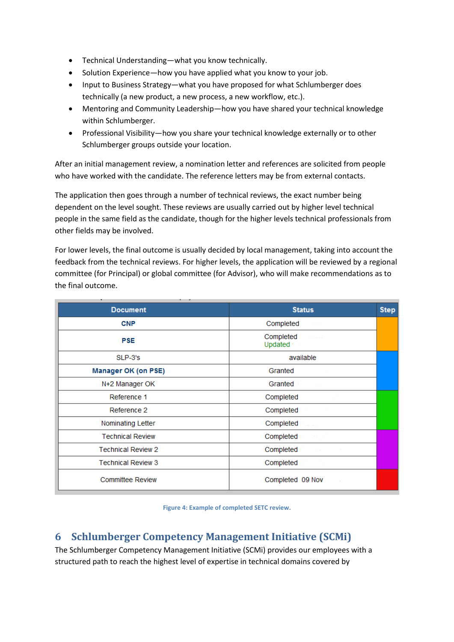- Technical Understanding—what you know technically.
- Solution Experience—how you have applied what you know to your job.
- Input to Business Strategy—what you have proposed for what Schlumberger does technically (a new product, a new process, a new workflow, etc.).
- Mentoring and Community Leadership—how you have shared your technical knowledge within Schlumberger.
- Professional Visibility—how you share your technical knowledge externally or to other Schlumberger groups outside your location.

After an initial management review, a nomination letter and references are solicited from people who have worked with the candidate. The reference letters may be from external contacts.

The application then goes through a number of technical reviews, the exact number being dependent on the level sought. These reviews are usually carried out by higher level technical people in the same field as the candidate, though for the higher levels technical professionals from other fields may be involved.

For lower levels, the final outcome is usually decided by local management, taking into account the feedback from the technical reviews. For higher levels, the application will be reviewed by a regional committee (for Principal) or global committee (for Advisor), who will make recommendations as to the final outcome.

| <b>Document</b>           | <b>Status</b>          | <b>Step</b> |
|---------------------------|------------------------|-------------|
| <b>CNP</b>                | Completed              |             |
| <b>PSE</b>                | Completed<br>Updated · |             |
| SLP-3's                   | available              |             |
| Manager OK (on PSE)       | Granted                |             |
| N+2 Manager OK            | Granted                |             |
| Reference 1               | Completed              |             |
| Reference 2               | Completed              |             |
| Nominating Letter         | Completed              |             |
| <b>Technical Review</b>   | Completed              |             |
| <b>Technical Review 2</b> | Completed              |             |
| <b>Technical Review 3</b> | Completed              |             |
| <b>Committee Review</b>   | Completed 09 Nov       |             |

**Figure 4: Example of completed SETC review.**

# **6 Schlumberger Competency Management Initiative (SCMi)**

The Schlumberger Competency Management Initiative (SCMi) provides our employees with a structured path to reach the highest level of expertise in technical domains covered by